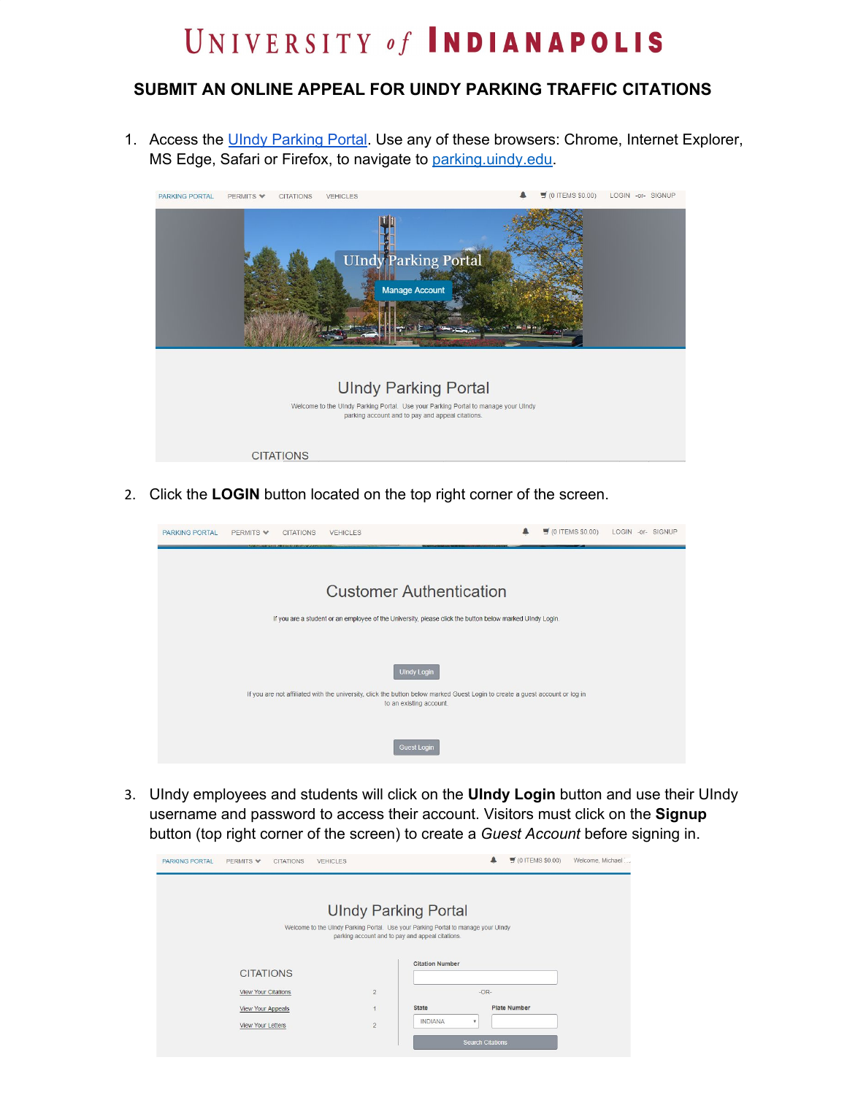## UNIVERSITY of INDIANAPOLIS

## **SUBMIT AN ONLINE APPEAL FOR UINDY PARKING TRAFFIC CITATIONS**

1. Access the UIndy [Parking](http://parking.uindy.edu/) Portal. Use any of these browsers: Chrome, Internet Explorer, MS Edge, Safari or Firefox, to navigate to [parking.uindy.edu.](https://parking.uindy.edu/)



2. Click the **LOGIN** button located on the top right corner of the screen.



3. UIndy employees and students will click on the **UIndy Login** button and use their UIndy username and password to access their account. Visitors must click on the **Signup** button (top right corner of the screen) to create a *Guest Account* before signing in.

| <b>PARKING PORTAL</b> | PERMITS V                  | <b>CITATIONS</b> | <b>VEHICLES</b>                                                                   |                                                  |                           | $\overline{5}$ (0 ITEMS \$0.00) | Welcome, Michael |
|-----------------------|----------------------------|------------------|-----------------------------------------------------------------------------------|--------------------------------------------------|---------------------------|---------------------------------|------------------|
|                       |                            |                  |                                                                                   |                                                  |                           |                                 |                  |
|                       |                            |                  | <b>UIndy Parking Portal</b>                                                       |                                                  |                           |                                 |                  |
|                       |                            |                  | Welcome to the UIndy Parking Portal. Use your Parking Portal to manage your UIndy | parking account and to pay and appeal citations. |                           |                                 |                  |
|                       |                            |                  |                                                                                   | <b>Citation Number</b>                           |                           |                                 |                  |
|                       | <b>CITATIONS</b>           |                  |                                                                                   |                                                  |                           |                                 |                  |
|                       | <b>View Your Citations</b> |                  | $\overline{2}$                                                                    |                                                  | $-OR-$                    |                                 |                  |
|                       | <b>View Your Appeals</b>   |                  | $\mathbf{1}$                                                                      | <b>State</b>                                     |                           | <b>Plate Number</b>             |                  |
|                       | <b>View Your Letters</b>   |                  | $\overline{2}$                                                                    | <b>INDIANA</b>                                   | $\boldsymbol{\mathrm{v}}$ |                                 |                  |
|                       |                            |                  |                                                                                   |                                                  | <b>Search Citations</b>   |                                 |                  |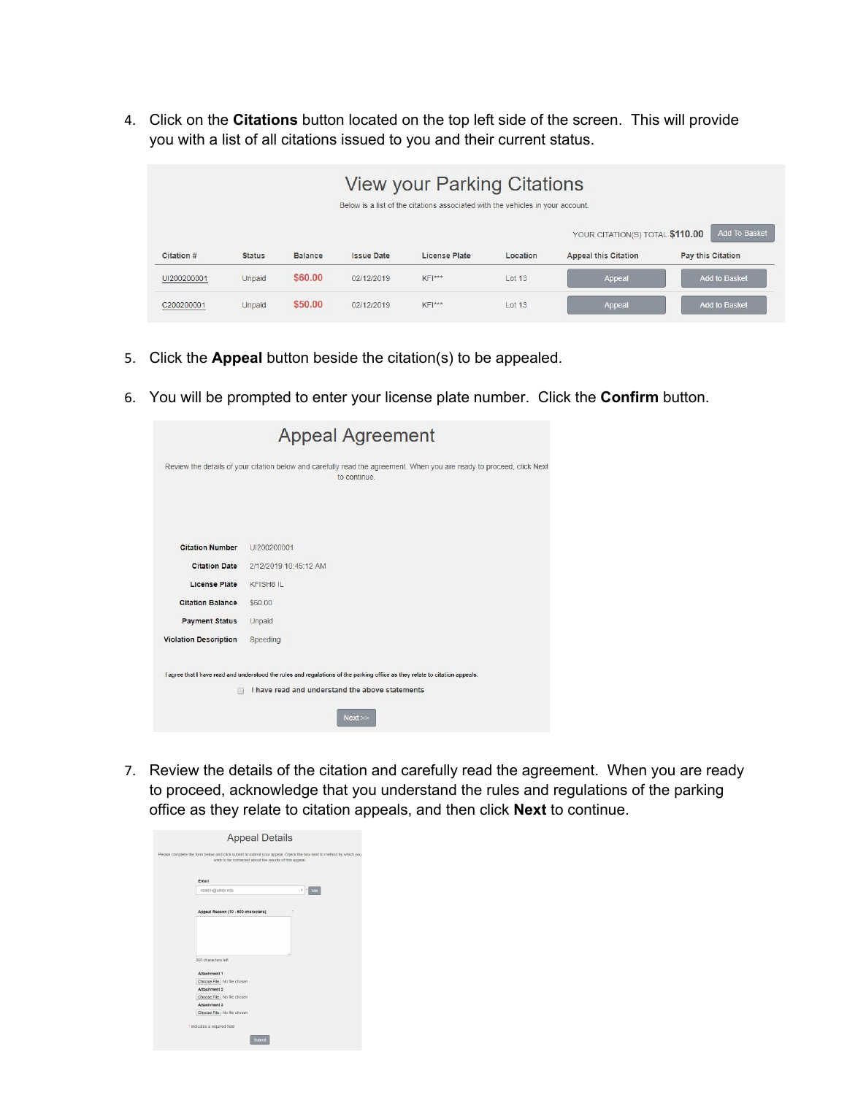4. Click on the **Citations** button located on the top left side of the screen. This will provide you with a list of all citations issued to you and their current status.

|             | <b>View your Parking Citations</b><br>Below is a list of the citations associated with the vehicles in your account. |                |                   |               |          |                                 |                      |
|-------------|----------------------------------------------------------------------------------------------------------------------|----------------|-------------------|---------------|----------|---------------------------------|----------------------|
|             |                                                                                                                      |                |                   |               |          | YOUR CITATION(S) TOTAL \$110.00 | Add To Basket        |
| Citation #  | <b>Status</b>                                                                                                        | <b>Balance</b> | <b>Issue Date</b> | License Plate | Location | <b>Appeal this Citation</b>     | Pay this Citation    |
| UI200200001 | Unpaid                                                                                                               | \$60.00        | 02/12/2019        | $KF ***$      | Lot 13   | Appeal                          | <b>Add to Basket</b> |
| C200200001  | <b>Unpaid</b>                                                                                                        | \$50.00        | 02/12/2019        | KFI***        | Lot 13   | Appeal                          | <b>Add to Basket</b> |

- 5. Click the **Appeal** button beside the citation(s) to be appealed.
- 6. You will be prompted to enter your license plate number. Click the **Confirm** button.

|                              | <b>Appeal Agreement</b>                                                                                                               |
|------------------------------|---------------------------------------------------------------------------------------------------------------------------------------|
|                              | Review the details of your citation below and carefully read the agreement. When you are ready to proceed, click Next<br>to continue. |
|                              |                                                                                                                                       |
| <b>Citation Number</b>       | UI200200001                                                                                                                           |
| <b>Citation Date</b>         | 2/12/2019 10:45:12 AM                                                                                                                 |
| <b>License Plate</b>         | <b>KFISH8 IL</b>                                                                                                                      |
| <b>Citation Balance</b>      | \$60.00                                                                                                                               |
| <b>Payment Status</b>        | Unpaid                                                                                                                                |
| <b>Violation Description</b> | Speeding                                                                                                                              |
|                              | I agree that I have read and understood the rules and regulations of the parking office as they relate to citation appeals.           |
|                              | I have read and understand the above statements                                                                                       |
|                              | Next                                                                                                                                  |

7. Review the details of the citation and carefully read the agreement. When you are ready to proceed, acknowledge that you understand the rules and regulations of the parking office as they relate to citation appeals, and then click **Next** to continue.

| Email                                      |
|--------------------------------------------|
| nolotm@uindy.edu<br>Add<br>٠               |
| Appeal Reason (10 - 500 characters)        |
|                                            |
| 500 characters left                        |
| Attachment 1                               |
| Choose File No file chosen                 |
| Attachment 2                               |
| Choose File No file chosen                 |
| Attachment 3<br>Choose File No file chosen |